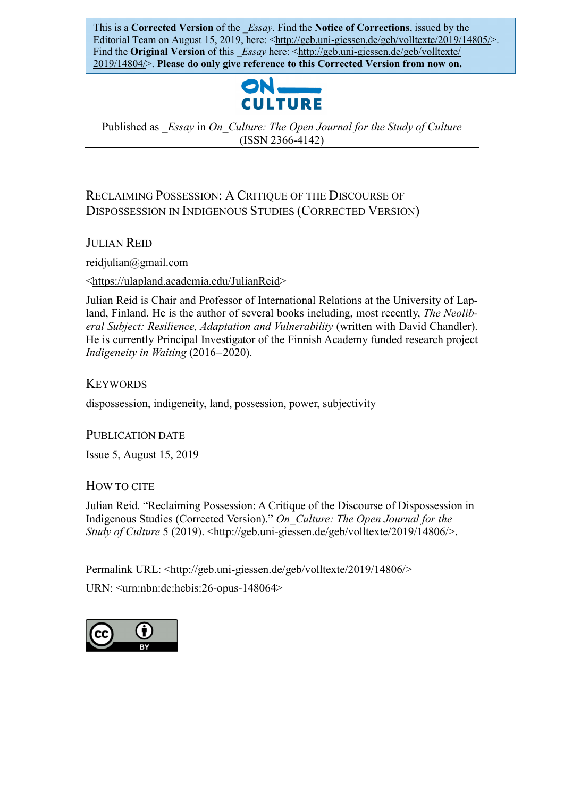This is a **Corrected Version** of the \_*Essay*. Find the **Notice of Corrections**, issued by the Editorial Team on August 15, 2019, here: [<http://geb.uni-giessen.de/geb/volltexte/2019/14805/>](http://geb.uni-giessen.de/geb/volltexte/2019/14805/). Find the **Original Version** of this *Essay* here: [<http://geb.uni-giessen.de/geb/volltexte/](http://geb.uni-giessen.de/geb/volltexte/2019/14804/) [2019/14804/>](http://geb.uni-giessen.de/geb/volltexte/2019/14804/). **Please do only give reference to this Corrected Version from now on.**



Published as *\_Essay* in *On\_Culture: The Open Journal for the Study of Culture*  (ISSN 2366-4142)

RECLAIMING POSSESSION: A CRITIQUE OF THE DISCOURSE OF DISPOSSESSION IN INDIGENOUS STUDIES (CORRECTED VERSION)

JULIAN REID

[reidjulian@gmail.com](mailto:reidjulian@gmail.com)

[<https://ulapland.academia.edu/JulianReid>](https://ulapland.academia.edu/JulianReid)

Julian Reid is Chair and Professor of International Relations at the University of Lapland, Finland. He is the author of several books including, most recently, *The Neoliberal Subject: Resilience, Adaptation and Vulnerability* (written with David Chandler). He is currently Principal Investigator of the Finnish Academy funded research project *Indigeneity in Waiting* (2016–2020).

**KEYWORDS** 

dispossession, indigeneity, land, possession, power, subjectivity

PUBLICATION DATE

Issue 5, August 15, 2019

HOW TO CITE

Julian Reid. "Reclaiming Possession: A Critique of the Discourse of Dispossession in Indigenous Studies (Corrected Version)." *On\_Culture: The Open Journal for the Study of Culture* 5 (2019). [<http://geb.uni-giessen.de/geb/volltexte/2019/14806/>](http://geb.uni-giessen.de/geb/volltexte/2019/14806/).

Permalink URL: [<http://geb.uni-giessen.de/geb/volltexte/2019/14806/>](http://geb.uni-giessen.de/geb/volltexte/2019/14806/) URN: <urn:nbn:de:hebis:26-opus-148064>

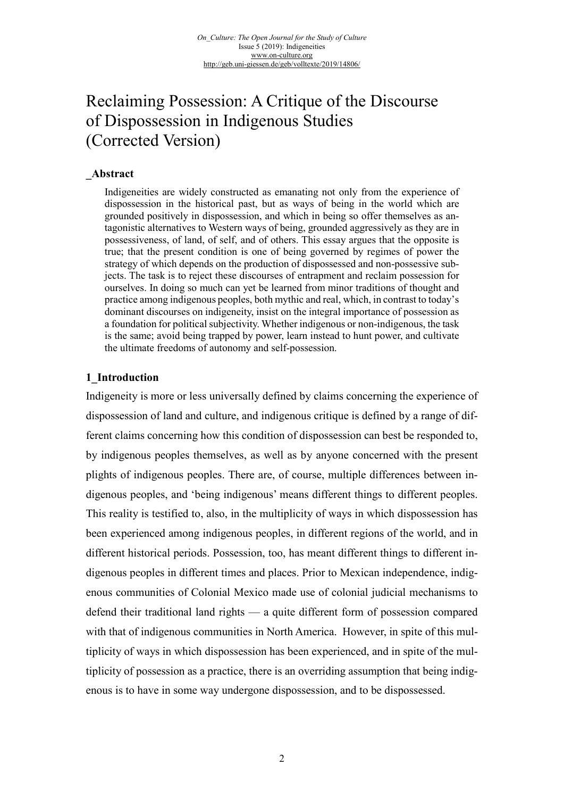# Reclaiming Possession: A Critique of the Discourse of Dispossession in Indigenous Studies (Corrected Version)

#### **\_Abstract**

Indigeneities are widely constructed as emanating not only from the experience of dispossession in the historical past, but as ways of being in the world which are grounded positively in dispossession, and which in being so offer themselves as antagonistic alternatives to Western ways of being, grounded aggressively as they are in possessiveness, of land, of self, and of others. This essay argues that the opposite is true; that the present condition is one of being governed by regimes of power the strategy of which depends on the production of dispossessed and non-possessive subjects. The task is to reject these discourses of entrapment and reclaim possession for ourselves. In doing so much can yet be learned from minor traditions of thought and practice among indigenous peoples, both mythic and real, which, in contrast to today's dominant discourses on indigeneity, insist on the integral importance of possession as a foundation for political subjectivity. Whether indigenous or non-indigenous, the task is the same; avoid being trapped by power, learn instead to hunt power, and cultivate the ultimate freedoms of autonomy and self-possession.

#### **1\_Introduction**

Indigeneity is more or less universally defined by claims concerning the experience of dispossession of land and culture, and indigenous critique is defined by a range of different claims concerning how this condition of dispossession can best be responded to, by indigenous peoples themselves, as well as by anyone concerned with the present plights of indigenous peoples. There are, of course, multiple differences between indigenous peoples, and 'being indigenous' means different things to different peoples. This reality is testified to, also, in the multiplicity of ways in which dispossession has been experienced among indigenous peoples, in different regions of the world, and in different historical periods. Possession, too, has meant different things to different indigenous peoples in different times and places. Prior to Mexican independence, indigenous communities of Colonial Mexico made use of colonial judicial mechanisms to defend their traditional land rights — a quite different form of possession compared with that of indigenous communities in North America. However, in spite of this multiplicity of ways in which dispossession has been experienced, and in spite of the multiplicity of possession as a practice, there is an overriding assumption that being indigenous is to have in some way undergone dispossession, and to be dispossessed.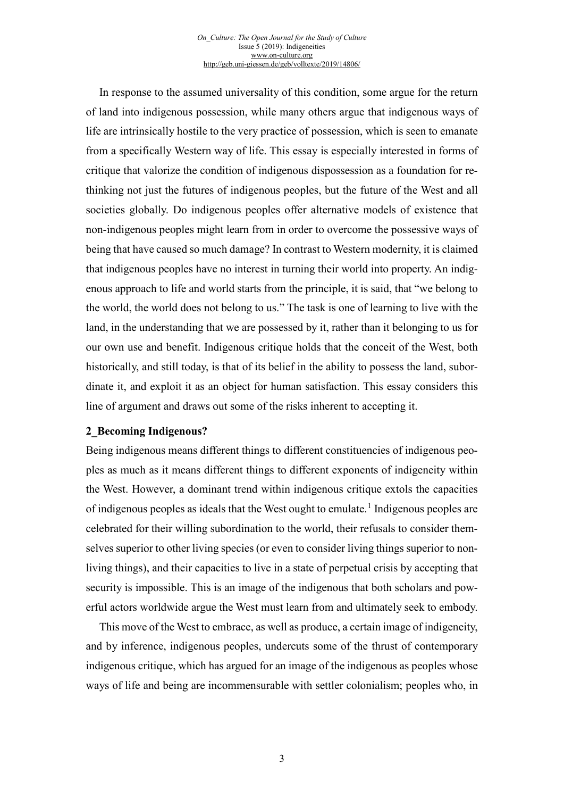In response to the assumed universality of this condition, some argue for the return of land into indigenous possession, while many others argue that indigenous ways of life are intrinsically hostile to the very practice of possession, which is seen to emanate from a specifically Western way of life. This essay is especially interested in forms of critique that valorize the condition of indigenous dispossession as a foundation for rethinking not just the futures of indigenous peoples, but the future of the West and all societies globally. Do indigenous peoples offer alternative models of existence that non-indigenous peoples might learn from in order to overcome the possessive ways of being that have caused so much damage? In contrast to Western modernity, it is claimed that indigenous peoples have no interest in turning their world into property. An indigenous approach to life and world starts from the principle, it is said, that "we belong to the world, the world does not belong to us." The task is one of learning to live with the land, in the understanding that we are possessed by it, rather than it belonging to us for our own use and benefit. Indigenous critique holds that the conceit of the West, both historically, and still today, is that of its belief in the ability to possess the land, subordinate it, and exploit it as an object for human satisfaction. This essay considers this line of argument and draws out some of the risks inherent to accepting it.

#### **2\_Becoming Indigenous?**

Being indigenous means different things to different constituencies of indigenous peoples as much as it means different things to different exponents of indigeneity within the West. However, a dominant trend within indigenous critique extols the capacities of indigenous peoples as ideals that the West ought to emulate.<sup>[1](#page-20-0)</sup> Indigenous peoples are celebrated for their willing subordination to the world, their refusals to consider themselves superior to other living species (or even to consider living things superior to nonliving things), and their capacities to live in a state of perpetual crisis by accepting that security is impossible. This is an image of the indigenous that both scholars and powerful actors worldwide argue the West must learn from and ultimately seek to embody.

This move of the West to embrace, as well as produce, a certain image of indigeneity, and by inference, indigenous peoples, undercuts some of the thrust of contemporary indigenous critique, which has argued for an image of the indigenous as peoples whose ways of life and being are incommensurable with settler colonialism; peoples who, in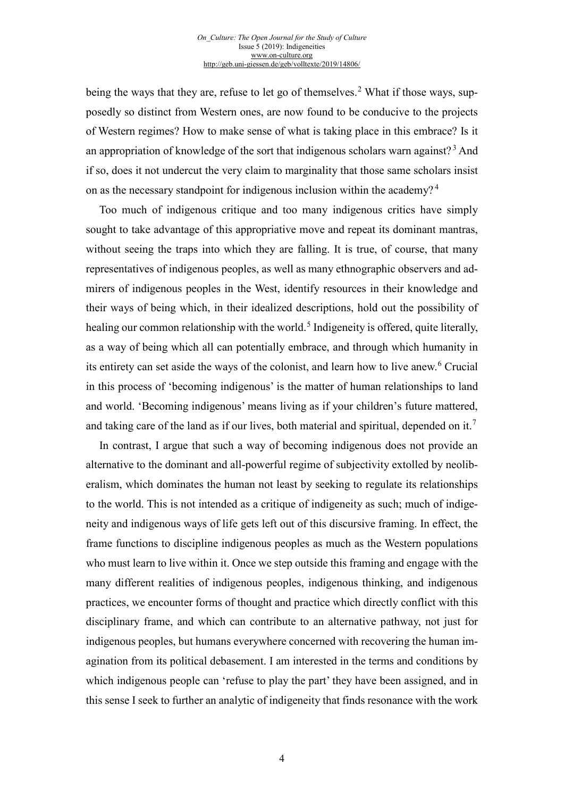being the ways that they are, refuse to let go of themselves.<sup>[2](#page-21-0)</sup> What if those ways, supposedly so distinct from Western ones, are now found to be conducive to the projects of Western regimes? How to make sense of what is taking place in this embrace? Is it an appropriation of knowledge of the sort that indigenous scholars warn against?<sup>[3](#page-21-1)</sup> And if so, does it not undercut the very claim to marginality that those same scholars insist on as the necessary standpoint for indigenous inclusion within the academy? [4](#page-21-2)

Too much of indigenous critique and too many indigenous critics have simply sought to take advantage of this appropriative move and repeat its dominant mantras, without seeing the traps into which they are falling. It is true, of course, that many representatives of indigenous peoples, as well as many ethnographic observers and admirers of indigenous peoples in the West, identify resources in their knowledge and their ways of being which, in their idealized descriptions, hold out the possibility of healing our common relationship with the world.<sup>[5](#page-21-3)</sup> Indigeneity is offered, quite literally, as a way of being which all can potentially embrace, and through which humanity in its entirety can set aside the ways of the colonist, and learn how to live anew.<sup>[6](#page-21-4)</sup> Crucial in this process of 'becoming indigenous' is the matter of human relationships to land and world. 'Becoming indigenous' means living as if your children's future mattered, and taking care of the land as if our lives, both material and spiritual, depended on it.<sup>[7](#page-21-5)</sup>

In contrast, I argue that such a way of becoming indigenous does not provide an alternative to the dominant and all-powerful regime of subjectivity extolled by neoliberalism, which dominates the human not least by seeking to regulate its relationships to the world. This is not intended as a critique of indigeneity as such; much of indigeneity and indigenous ways of life gets left out of this discursive framing. In effect, the frame functions to discipline indigenous peoples as much as the Western populations who must learn to live within it. Once we step outside this framing and engage with the many different realities of indigenous peoples, indigenous thinking, and indigenous practices, we encounter forms of thought and practice which directly conflict with this disciplinary frame, and which can contribute to an alternative pathway, not just for indigenous peoples, but humans everywhere concerned with recovering the human imagination from its political debasement. I am interested in the terms and conditions by which indigenous people can 'refuse to play the part' they have been assigned, and in this sense I seek to further an analytic of indigeneity that finds resonance with the work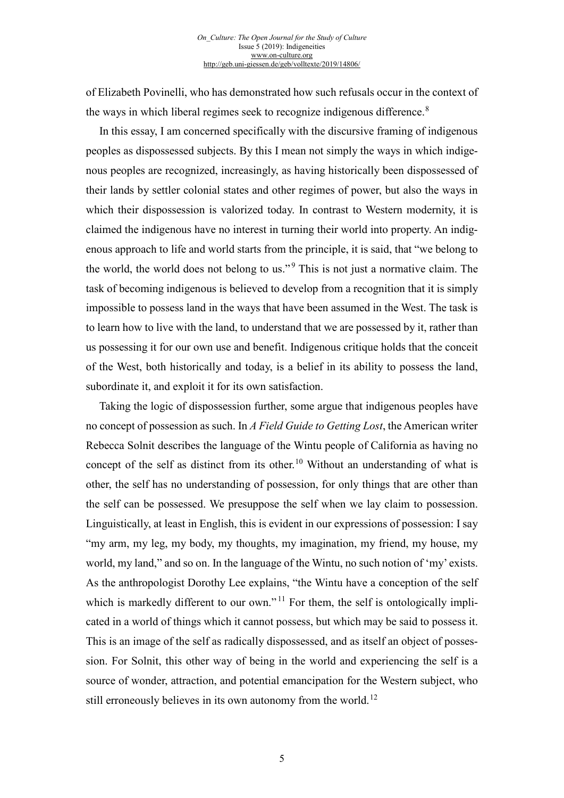of Elizabeth Povinelli, who has demonstrated how such refusals occur in the context of the ways in which liberal regimes seek to recognize indigenous difference.<sup>[8](#page-22-0)</sup>

In this essay, I am concerned specifically with the discursive framing of indigenous peoples as dispossessed subjects. By this I mean not simply the ways in which indigenous peoples are recognized, increasingly, as having historically been dispossessed of their lands by settler colonial states and other regimes of power, but also the ways in which their dispossession is valorized today. In contrast to Western modernity, it is claimed the indigenous have no interest in turning their world into property. An indigenous approach to life and world starts from the principle, it is said, that "we belong to the world, the world does not belong to us."<sup>[9](#page-22-1)</sup> This is not just a normative claim. The task of becoming indigenous is believed to develop from a recognition that it is simply impossible to possess land in the ways that have been assumed in the West. The task is to learn how to live with the land, to understand that we are possessed by it, rather than us possessing it for our own use and benefit. Indigenous critique holds that the conceit of the West, both historically and today, is a belief in its ability to possess the land, subordinate it, and exploit it for its own satisfaction.

Taking the logic of dispossession further, some argue that indigenous peoples have no concept of possession as such. In *A Field Guide to Getting Lost*, the American writer Rebecca Solnit describes the language of the Wintu people of California as having no concept of the self as distinct from its other.<sup>[10](#page-22-2)</sup> Without an understanding of what is other, the self has no understanding of possession, for only things that are other than the self can be possessed. We presuppose the self when we lay claim to possession. Linguistically, at least in English, this is evident in our expressions of possession: I say "my arm, my leg, my body, my thoughts, my imagination, my friend, my house, my world, my land," and so on. In the language of the Wintu, no such notion of 'my' exists. As the anthropologist Dorothy Lee explains, "the Wintu have a conception of the self which is markedly different to our own."<sup>[11](#page-22-3)</sup> For them, the self is ontologically implicated in a world of things which it cannot possess, but which may be said to possess it. This is an image of the self as radically dispossessed, and as itself an object of possession. For Solnit, this other way of being in the world and experiencing the self is a source of wonder, attraction, and potential emancipation for the Western subject, who still erroneously believes in its own autonomy from the world.<sup>12</sup>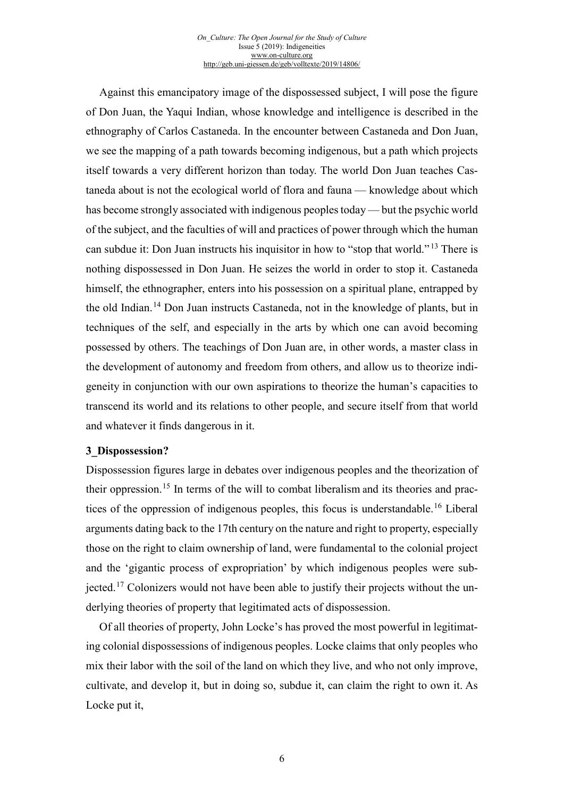Against this emancipatory image of the dispossessed subject, I will pose the figure of Don Juan, the Yaqui Indian, whose knowledge and intelligence is described in the ethnography of Carlos Castaneda. In the encounter between Castaneda and Don Juan, we see the mapping of a path towards becoming indigenous, but a path which projects itself towards a very different horizon than today. The world Don Juan teaches Castaneda about is not the ecological world of flora and fauna — knowledge about which has become strongly associated with indigenous peoples today — but the psychic world of the subject, and the faculties of will and practices of power through which the human can subdue it: Don Juan instructs his inquisitor in how to "stop that world." [13](#page-23-0) There is nothing dispossessed in Don Juan. He seizes the world in order to stop it. Castaneda himself, the ethnographer, enters into his possession on a spiritual plane, entrapped by the old Indian.[14](#page-23-1) Don Juan instructs Castaneda, not in the knowledge of plants, but in techniques of the self, and especially in the arts by which one can avoid becoming possessed by others. The teachings of Don Juan are, in other words, a master class in the development of autonomy and freedom from others, and allow us to theorize indigeneity in conjunction with our own aspirations to theorize the human's capacities to transcend its world and its relations to other people, and secure itself from that world and whatever it finds dangerous in it.

## **3\_Dispossession?**

Dispossession figures large in debates over indigenous peoples and the theorization of their oppression.[15](#page-23-2) In terms of the will to combat liberalism and its theories and prac-tices of the oppression of indigenous peoples, this focus is understandable.<sup>[16](#page-23-3)</sup> Liberal arguments dating back to the 17th century on the nature and right to property, especially those on the right to claim ownership of land, were fundamental to the colonial project and the 'gigantic process of expropriation' by which indigenous peoples were sub-jected.<sup>[17](#page-23-4)</sup> Colonizers would not have been able to justify their projects without the underlying theories of property that legitimated acts of dispossession.

Of all theories of property, John Locke's has proved the most powerful in legitimating colonial dispossessions of indigenous peoples. Locke claims that only peoples who mix their labor with the soil of the land on which they live, and who not only improve, cultivate, and develop it, but in doing so, subdue it, can claim the right to own it. As Locke put it,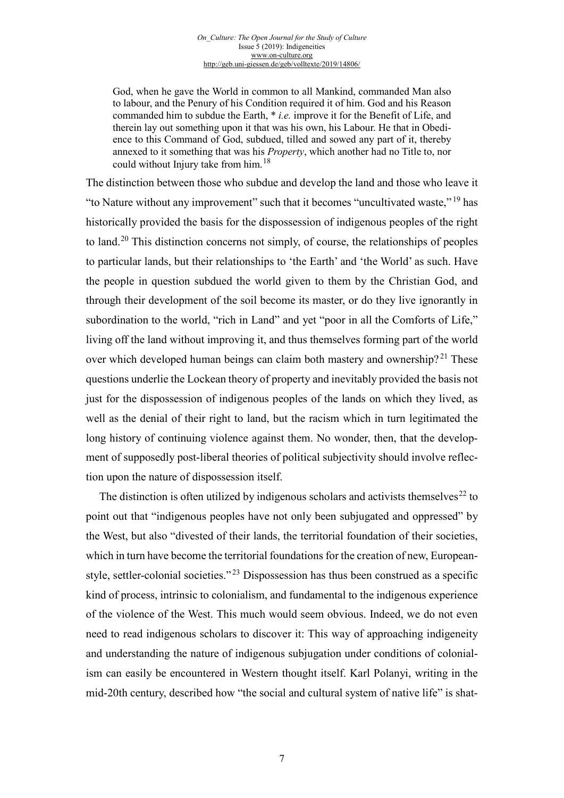God, when he gave the World in common to all Mankind, commanded Man also to labour, and the Penury of his Condition required it of him. God and his Reason commanded him to subdue the Earth, \* *i.e.* improve it for the Benefit of Life, and therein lay out something upon it that was his own, his Labour. He that in Obedience to this Command of God, subdued, tilled and sowed any part of it, thereby annexed to it something that was his *Property*, which another had no Title to, nor could without Injury take from him.<sup>[18](#page-23-5)</sup>

The distinction between those who subdue and develop the land and those who leave it "to Nature without any improvement" such that it becomes "uncultivated waste," [19](#page-23-6) has historically provided the basis for the dispossession of indigenous peoples of the right to land.<sup>[20](#page-23-7)</sup> This distinction concerns not simply, of course, the relationships of peoples to particular lands, but their relationships to 'the Earth' and 'the World' as such. Have the people in question subdued the world given to them by the Christian God, and through their development of the soil become its master, or do they live ignorantly in subordination to the world, "rich in Land" and yet "poor in all the Comforts of Life," living off the land without improving it, and thus themselves forming part of the world over which developed human beings can claim both mastery and ownership?<sup>[21](#page-23-8)</sup> These questions underlie the Lockean theory of property and inevitably provided the basis not just for the dispossession of indigenous peoples of the lands on which they lived, as well as the denial of their right to land, but the racism which in turn legitimated the long history of continuing violence against them. No wonder, then, that the development of supposedly post-liberal theories of political subjectivity should involve reflection upon the nature of dispossession itself.

The distinction is often utilized by indigenous scholars and activists themselves<sup>[22](#page-23-9)</sup> to point out that "indigenous peoples have not only been subjugated and oppressed" by the West, but also "divested of their lands, the territorial foundation of their societies, which in turn have become the territorial foundations for the creation of new, European-style, settler-colonial societies."<sup>[23](#page-23-10)</sup> Dispossession has thus been construed as a specific kind of process, intrinsic to colonialism, and fundamental to the indigenous experience of the violence of the West. This much would seem obvious. Indeed, we do not even need to read indigenous scholars to discover it: This way of approaching indigeneity and understanding the nature of indigenous subjugation under conditions of colonialism can easily be encountered in Western thought itself. Karl Polanyi, writing in the mid-20th century, described how "the social and cultural system of native life" is shat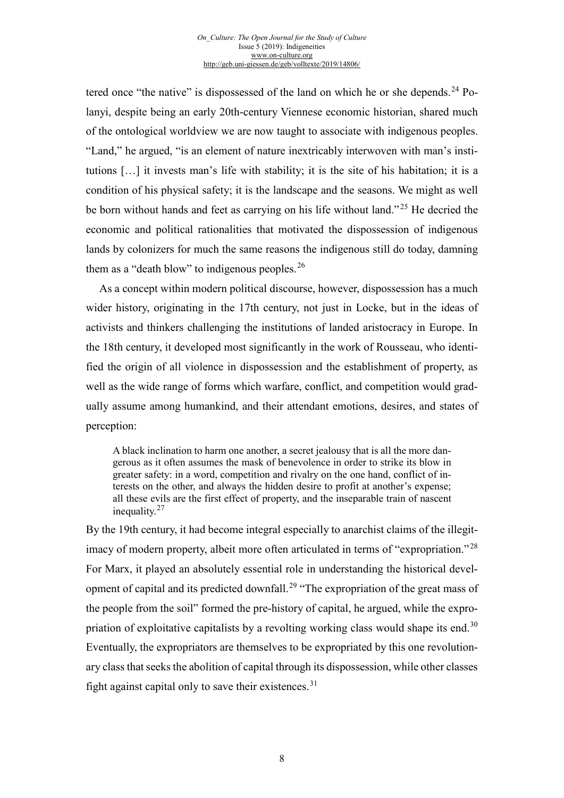tered once "the native" is dispossessed of the land on which he or she depends.<sup>[24](#page-23-11)</sup> Polanyi, despite being an early 20th-century Viennese economic historian, shared much of the ontological worldview we are now taught to associate with indigenous peoples. "Land," he argued, "is an element of nature inextricably interwoven with man's institutions […] it invests man's life with stability; it is the site of his habitation; it is a condition of his physical safety; it is the landscape and the seasons. We might as well be born without hands and feet as carrying on his life without land."<sup>[25](#page-23-12)</sup> He decried the economic and political rationalities that motivated the dispossession of indigenous lands by colonizers for much the same reasons the indigenous still do today, damning them as a "death blow" to indigenous peoples.<sup>[26](#page-23-13)</sup>

As a concept within modern political discourse, however, dispossession has a much wider history, originating in the 17th century, not just in Locke, but in the ideas of activists and thinkers challenging the institutions of landed aristocracy in Europe. In the 18th century, it developed most significantly in the work of Rousseau, who identified the origin of all violence in dispossession and the establishment of property, as well as the wide range of forms which warfare, conflict, and competition would gradually assume among humankind, and their attendant emotions, desires, and states of perception:

A black inclination to harm one another, a secret jealousy that is all the more dangerous as it often assumes the mask of benevolence in order to strike its blow in greater safety: in a word, competition and rivalry on the one hand, conflict of interests on the other, and always the hidden desire to profit at another's expense; all these evils are the first effect of property, and the inseparable train of nascent inequality. $27$ 

By the 19th century, it had become integral especially to anarchist claims of the illegit-imacy of modern property, albeit more often articulated in terms of "expropriation."<sup>[28](#page-23-15)</sup> For Marx, it played an absolutely essential role in understanding the historical development of capital and its predicted downfall.<sup>29</sup> "The expropriation of the great mass of the people from the soil" formed the pre-history of capital, he argued, while the expro-priation of exploitative capitalists by a revolting working class would shape its end.<sup>[30](#page-23-17)</sup> Eventually, the expropriators are themselves to be expropriated by this one revolutionary class that seeks the abolition of capital through its dispossession, while other classes fight against capital only to save their existences.<sup>[31](#page-23-18)</sup>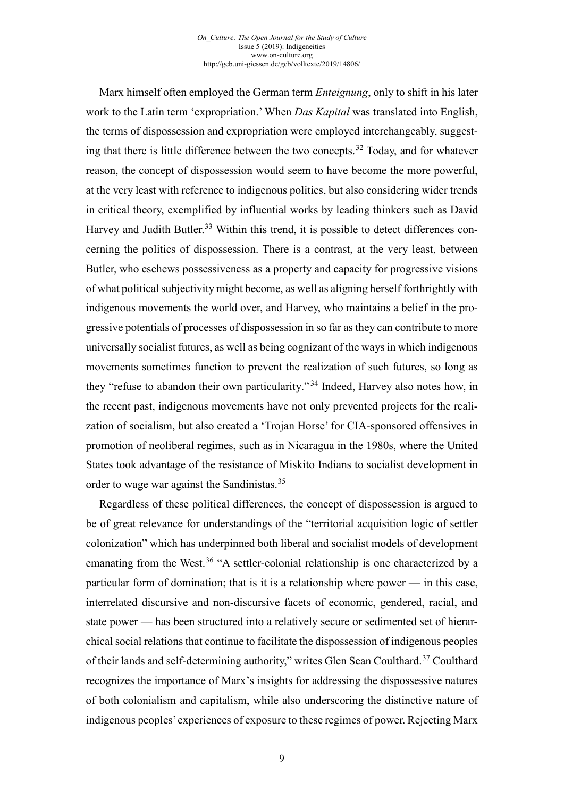Marx himself often employed the German term *Enteignung*, only to shift in his later work to the Latin term 'expropriation.' When *Das Kapital* was translated into English, the terms of dispossession and expropriation were employed interchangeably, suggest-ing that there is little difference between the two concepts.<sup>[32](#page-23-19)</sup> Today, and for whatever reason, the concept of dispossession would seem to have become the more powerful, at the very least with reference to indigenous politics, but also considering wider trends in critical theory, exemplified by influential works by leading thinkers such as David Harvey and Judith Butler.<sup>[33](#page-23-20)</sup> Within this trend, it is possible to detect differences concerning the politics of dispossession. There is a contrast, at the very least, between Butler, who eschews possessiveness as a property and capacity for progressive visions of what political subjectivity might become, as well as aligning herself forthrightly with indigenous movements the world over, and Harvey, who maintains a belief in the progressive potentials of processes of dispossession in so far as they can contribute to more universally socialist futures, as well as being cognizant of the ways in which indigenous movements sometimes function to prevent the realization of such futures, so long as they "refuse to abandon their own particularity." [34](#page-23-21) Indeed, Harvey also notes how, in the recent past, indigenous movements have not only prevented projects for the realization of socialism, but also created a 'Trojan Horse' for CIA-sponsored offensives in promotion of neoliberal regimes, such as in Nicaragua in the 1980s, where the United States took advantage of the resistance of Miskito Indians to socialist development in order to wage war against the Sandinistas.[35](#page-23-22) 

Regardless of these political differences, the concept of dispossession is argued to be of great relevance for understandings of the "territorial acquisition logic of settler colonization" which has underpinned both liberal and socialist models of development emanating from the West.<sup>[36](#page-23-23)</sup> "A settler-colonial relationship is one characterized by a particular form of domination; that is it is a relationship where power — in this case, interrelated discursive and non-discursive facets of economic, gendered, racial, and state power — has been structured into a relatively secure or sedimented set of hierarchical social relations that continue to facilitate the dispossession of indigenous peoples of their lands and self-determining authority," writes Glen Sean Coulthard.<sup>[37](#page-23-24)</sup> Coulthard recognizes the importance of Marx's insights for addressing the dispossessive natures of both colonialism and capitalism, while also underscoring the distinctive nature of indigenous peoples' experiences of exposure to these regimes of power. Rejecting Marx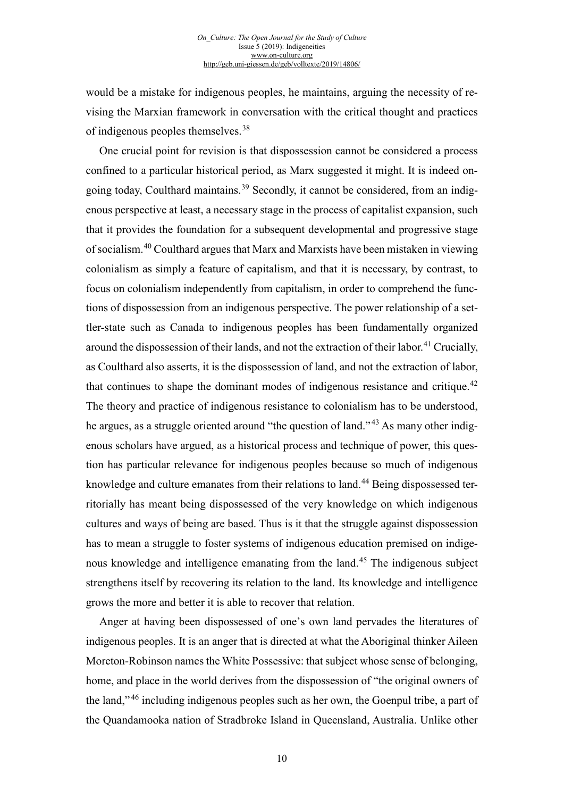would be a mistake for indigenous peoples, he maintains, arguing the necessity of revising the Marxian framework in conversation with the critical thought and practices of indigenous peoples themselves.[38](#page-23-25)

One crucial point for revision is that dispossession cannot be considered a process confined to a particular historical period, as Marx suggested it might. It is indeed on-going today, Coulthard maintains.<sup>[39](#page-23-26)</sup> Secondly, it cannot be considered, from an indigenous perspective at least, a necessary stage in the process of capitalist expansion, such that it provides the foundation for a subsequent developmental and progressive stage of socialism.[40](#page-23-27) Coulthard argues that Marx and Marxists have been mistaken in viewing colonialism as simply a feature of capitalism, and that it is necessary, by contrast, to focus on colonialism independently from capitalism, in order to comprehend the functions of dispossession from an indigenous perspective. The power relationship of a settler-state such as Canada to indigenous peoples has been fundamentally organized around the dispossession of their lands, and not the extraction of their labor.<sup>[41](#page-23-28)</sup> Crucially, as Coulthard also asserts, it is the dispossession of land, and not the extraction of labor, that continues to shape the dominant modes of indigenous resistance and critique.<sup>[42](#page-23-29)</sup> The theory and practice of indigenous resistance to colonialism has to be understood, he argues, as a struggle oriented around "the question of land."<sup>[43](#page-23-30)</sup> As many other indigenous scholars have argued, as a historical process and technique of power, this question has particular relevance for indigenous peoples because so much of indigenous knowledge and culture emanates from their relations to land.<sup>[44](#page-23-31)</sup> Being dispossessed territorially has meant being dispossessed of the very knowledge on which indigenous cultures and ways of being are based. Thus is it that the struggle against dispossession has to mean a struggle to foster systems of indigenous education premised on indige-nous knowledge and intelligence emanating from the land.<sup>[45](#page-23-32)</sup> The indigenous subject strengthens itself by recovering its relation to the land. Its knowledge and intelligence grows the more and better it is able to recover that relation.

Anger at having been dispossessed of one's own land pervades the literatures of indigenous peoples. It is an anger that is directed at what the Aboriginal thinker Aileen Moreton-Robinson names the White Possessive: that subject whose sense of belonging, home, and place in the world derives from the dispossession of "the original owners of the land,"<sup>[46](#page-23-33)</sup> including indigenous peoples such as her own, the Goenpul tribe, a part of the Quandamooka nation of Stradbroke Island in Queensland, Australia. Unlike other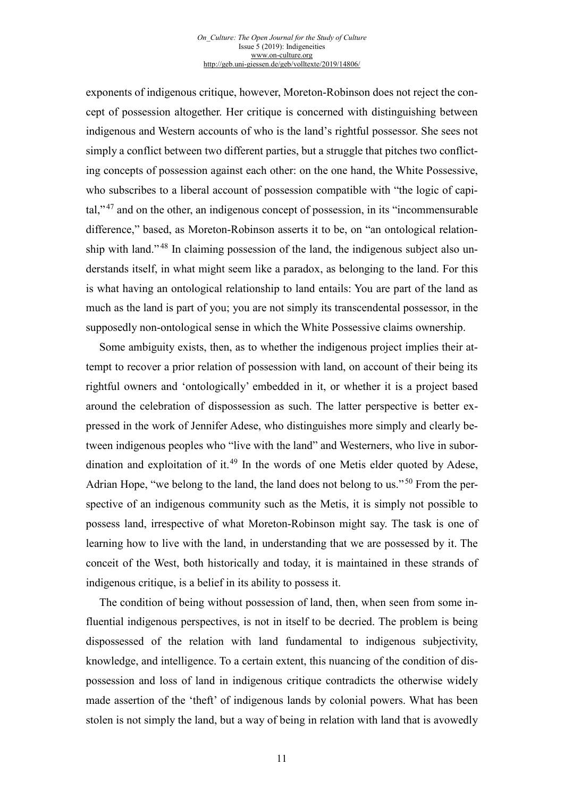exponents of indigenous critique, however, Moreton-Robinson does not reject the concept of possession altogether. Her critique is concerned with distinguishing between indigenous and Western accounts of who is the land's rightful possessor. She sees not simply a conflict between two different parties, but a struggle that pitches two conflicting concepts of possession against each other: on the one hand, the White Possessive, who subscribes to a liberal account of possession compatible with "the logic of capi-tal,"<sup>[47](#page-23-34)</sup> and on the other, an indigenous concept of possession, in its "incommensurable difference," based, as Moreton-Robinson asserts it to be, on "an ontological relation-ship with land."<sup>[48](#page-23-35)</sup> In claiming possession of the land, the indigenous subject also understands itself, in what might seem like a paradox, as belonging to the land. For this is what having an ontological relationship to land entails: You are part of the land as much as the land is part of you; you are not simply its transcendental possessor, in the supposedly non-ontological sense in which the White Possessive claims ownership.

Some ambiguity exists, then, as to whether the indigenous project implies their attempt to recover a prior relation of possession with land, on account of their being its rightful owners and 'ontologically' embedded in it, or whether it is a project based around the celebration of dispossession as such. The latter perspective is better expressed in the work of Jennifer Adese, who distinguishes more simply and clearly between indigenous peoples who "live with the land" and Westerners, who live in subor-dination and exploitation of it.<sup>[49](#page-23-36)</sup> In the words of one Metis elder quoted by Adese, Adrian Hope, "we belong to the land, the land does not belong to us."<sup>[50](#page-23-37)</sup> From the perspective of an indigenous community such as the Metis, it is simply not possible to possess land, irrespective of what Moreton-Robinson might say. The task is one of learning how to live with the land, in understanding that we are possessed by it. The conceit of the West, both historically and today, it is maintained in these strands of indigenous critique, is a belief in its ability to possess it.

The condition of being without possession of land, then, when seen from some influential indigenous perspectives, is not in itself to be decried. The problem is being dispossessed of the relation with land fundamental to indigenous subjectivity, knowledge, and intelligence. To a certain extent, this nuancing of the condition of dispossession and loss of land in indigenous critique contradicts the otherwise widely made assertion of the 'theft' of indigenous lands by colonial powers. What has been stolen is not simply the land, but a way of being in relation with land that is avowedly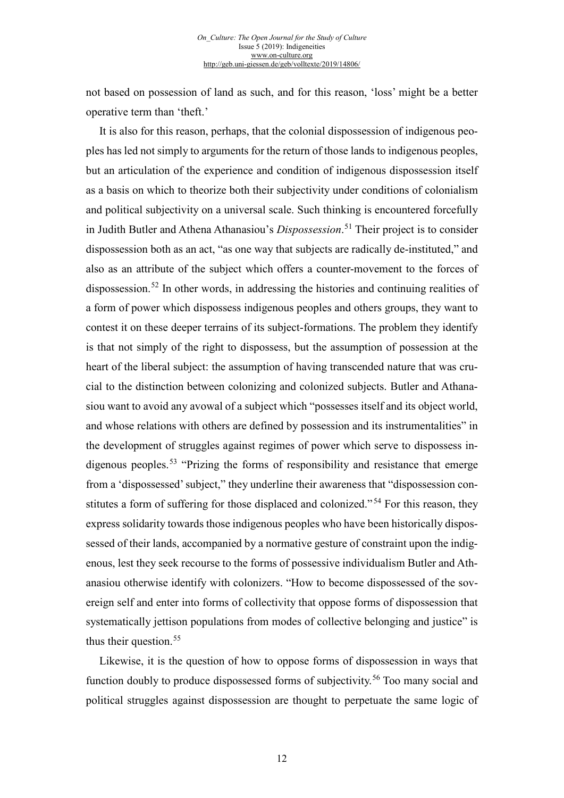not based on possession of land as such, and for this reason, 'loss' might be a better operative term than 'theft.'

It is also for this reason, perhaps, that the colonial dispossession of indigenous peoples has led not simply to arguments for the return of those lands to indigenous peoples, but an articulation of the experience and condition of indigenous dispossession itself as a basis on which to theorize both their subjectivity under conditions of colonialism and political subjectivity on a universal scale. Such thinking is encountered forcefully in Judith Butler and Athena Athanasiou's *Dispossession*. [51](#page-23-38) Their project is to consider dispossession both as an act, "as one way that subjects are radically de-instituted," and also as an attribute of the subject which offers a counter-movement to the forces of dispossession.<sup>[52](#page-23-39)</sup> In other words, in addressing the histories and continuing realities of a form of power which dispossess indigenous peoples and others groups, they want to contest it on these deeper terrains of its subject-formations. The problem they identify is that not simply of the right to dispossess, but the assumption of possession at the heart of the liberal subject: the assumption of having transcended nature that was crucial to the distinction between colonizing and colonized subjects. Butler and Athanasiou want to avoid any avowal of a subject which "possesses itself and its object world, and whose relations with others are defined by possession and its instrumentalities" in the development of struggles against regimes of power which serve to dispossess in-digenous peoples.<sup>[53](#page-23-40)</sup> "Prizing the forms of responsibility and resistance that emerge from a 'dispossessed' subject," they underline their awareness that "dispossession con-stitutes a form of suffering for those displaced and colonized."<sup>[54](#page-23-41)</sup> For this reason, they express solidarity towards those indigenous peoples who have been historically dispossessed of their lands, accompanied by a normative gesture of constraint upon the indigenous, lest they seek recourse to the forms of possessive individualism Butler and Athanasiou otherwise identify with colonizers. "How to become dispossessed of the sovereign self and enter into forms of collectivity that oppose forms of dispossession that systematically jettison populations from modes of collective belonging and justice" is thus their question.<sup>[55](#page-23-42)</sup>

Likewise, it is the question of how to oppose forms of dispossession in ways that function doubly to produce dispossessed forms of subjectivity.<sup>[56](#page-23-43)</sup> Too many social and political struggles against dispossession are thought to perpetuate the same logic of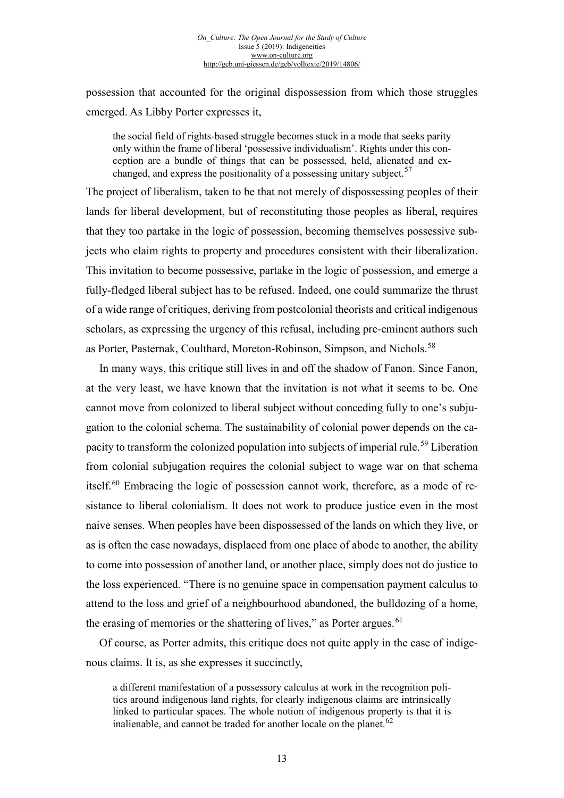possession that accounted for the original dispossession from which those struggles emerged. As Libby Porter expresses it,

the social field of rights-based struggle becomes stuck in a mode that seeks parity only within the frame of liberal 'possessive individualism'. Rights under this conception are a bundle of things that can be possessed, held, alienated and ex-changed, and express the positionality of a possessing unitary subject.<sup>[57](#page-23-44)</sup>

The project of liberalism, taken to be that not merely of dispossessing peoples of their lands for liberal development, but of reconstituting those peoples as liberal, requires that they too partake in the logic of possession, becoming themselves possessive subjects who claim rights to property and procedures consistent with their liberalization. This invitation to become possessive, partake in the logic of possession, and emerge a fully-fledged liberal subject has to be refused. Indeed, one could summarize the thrust of a wide range of critiques, deriving from postcolonial theorists and critical indigenous scholars, as expressing the urgency of this refusal, including pre-eminent authors such as Porter, Pasternak, Coulthard, Moreton-Robinson, Simpson, and Nichols.<sup>58</sup>

In many ways, this critique still lives in and off the shadow of Fanon. Since Fanon, at the very least, we have known that the invitation is not what it seems to be. One cannot move from colonized to liberal subject without conceding fully to one's subjugation to the colonial schema. The sustainability of colonial power depends on the ca-pacity to transform the colonized population into subjects of imperial rule.<sup>[59](#page-23-46)</sup> Liberation from colonial subjugation requires the colonial subject to wage war on that schema itself.<sup>[60](#page-23-47)</sup> Embracing the logic of possession cannot work, therefore, as a mode of resistance to liberal colonialism. It does not work to produce justice even in the most naive senses. When peoples have been dispossessed of the lands on which they live, or as is often the case nowadays, displaced from one place of abode to another, the ability to come into possession of another land, or another place, simply does not do justice to the loss experienced. "There is no genuine space in compensation payment calculus to attend to the loss and grief of a neighbourhood abandoned, the bulldozing of a home, the erasing of memories or the shattering of lives," as Porter argues.<sup>61</sup>

Of course, as Porter admits, this critique does not quite apply in the case of indigenous claims. It is, as she expresses it succinctly,

a different manifestation of a possessory calculus at work in the recognition politics around indigenous land rights, for clearly indigenous claims are intrinsically linked to particular spaces. The whole notion of indigenous property is that it is inalienable, and cannot be traded for another locale on the planet. $62$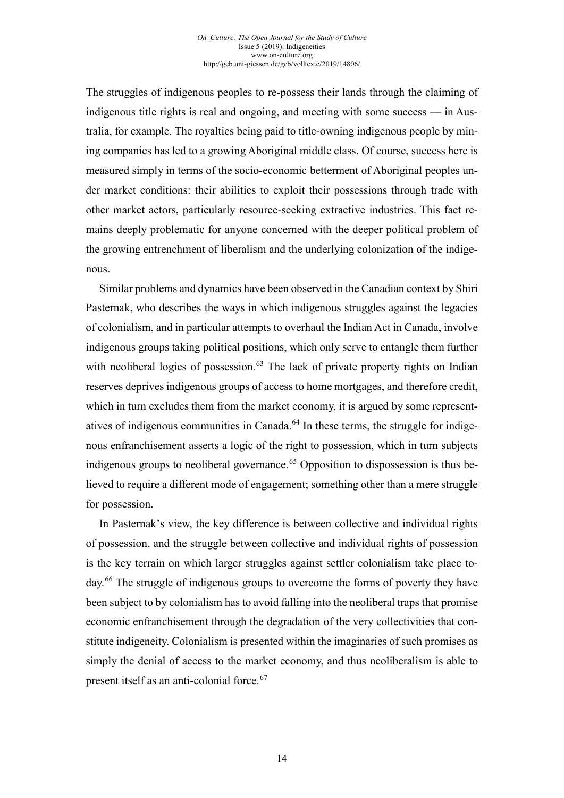The struggles of indigenous peoples to re-possess their lands through the claiming of indigenous title rights is real and ongoing, and meeting with some success — in Australia, for example. The royalties being paid to title-owning indigenous people by mining companies has led to a growing Aboriginal middle class. Of course, success here is measured simply in terms of the socio-economic betterment of Aboriginal peoples under market conditions: their abilities to exploit their possessions through trade with other market actors, particularly resource-seeking extractive industries. This fact remains deeply problematic for anyone concerned with the deeper political problem of the growing entrenchment of liberalism and the underlying colonization of the indigenous.

Similar problems and dynamics have been observed in the Canadian context by Shiri Pasternak, who describes the ways in which indigenous struggles against the legacies of colonialism, and in particular attempts to overhaul the Indian Act in Canada, involve indigenous groups taking political positions, which only serve to entangle them further with neoliberal logics of possession.<sup>[63](#page-23-50)</sup> The lack of private property rights on Indian reserves deprives indigenous groups of access to home mortgages, and therefore credit, which in turn excludes them from the market economy, it is argued by some representatives of indigenous communities in Canada. $64$  In these terms, the struggle for indigenous enfranchisement asserts a logic of the right to possession, which in turn subjects indigenous groups to neoliberal governance.<sup> $65$ </sup> Opposition to dispossession is thus believed to require a different mode of engagement; something other than a mere struggle for possession.

In Pasternak's view, the key difference is between collective and individual rights of possession, and the struggle between collective and individual rights of possession is the key terrain on which larger struggles against settler colonialism take place today.[66](#page-23-53) The struggle of indigenous groups to overcome the forms of poverty they have been subject to by colonialism has to avoid falling into the neoliberal traps that promise economic enfranchisement through the degradation of the very collectivities that constitute indigeneity. Colonialism is presented within the imaginaries of such promises as simply the denial of access to the market economy, and thus neoliberalism is able to present itself as an anti-colonial force.<sup>[67](#page-23-54)</sup>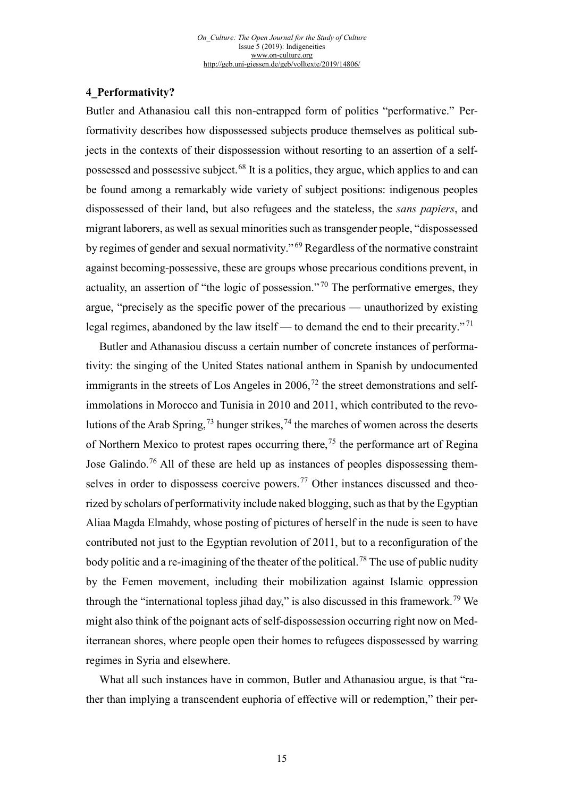## **4\_Performativity?**

Butler and Athanasiou call this non-entrapped form of politics "performative." Performativity describes how dispossessed subjects produce themselves as political subjects in the contexts of their dispossession without resorting to an assertion of a selfpossessed and possessive subject.[68](#page-23-55) It is a politics, they argue, which applies to and can be found among a remarkably wide variety of subject positions: indigenous peoples dispossessed of their land, but also refugees and the stateless, the *sans papiers*, and migrant laborers, as well as sexual minorities such as transgender people, "dispossessed by regimes of gender and sexual normativity." [69](#page-23-24) Regardless of the normative constraint against becoming-possessive, these are groups whose precarious conditions prevent, in actuality, an assertion of "the logic of possession."<sup>[70](#page-23-25)</sup> The performative emerges, they argue, "precisely as the specific power of the precarious — unauthorized by existing legal regimes, abandoned by the law itself — to demand the end to their precarity."<sup>[71](#page-23-26)</sup>

Butler and Athanasiou discuss a certain number of concrete instances of performativity: the singing of the United States national anthem in Spanish by undocumented immigrants in the streets of Los Angeles in  $2006$ ,<sup> $72$ </sup> the street demonstrations and selfimmolations in Morocco and Tunisia in 2010 and 2011, which contributed to the revo-lutions of the Arab Spring,<sup>[73](#page-23-28)</sup> hunger strikes,<sup>[74](#page-23-29)</sup> the marches of women across the deserts of Northern Mexico to protest rapes occurring there,<sup>[75](#page-23-30)</sup> the performance art of Regina Jose Galindo.<sup>[76](#page-23-31)</sup> All of these are held up as instances of peoples dispossessing them-selves in order to dispossess coercive powers.<sup>[77](#page-23-56)</sup> Other instances discussed and theorized by scholars of performativity include naked blogging, such as that by the Egyptian Aliaa Magda Elmahdy, whose posting of pictures of herself in the nude is seen to have contributed not just to the Egyptian revolution of 2011, but to a reconfiguration of the body politic and a re-imagining of the theater of the political.<sup>[78](#page-23-57)</sup> The use of public nudity by the Femen movement, including their mobilization against Islamic oppression through the "international topless jihad day," is also discussed in this framework.<sup>[79](#page-23-34)</sup> We might also think of the poignant acts of self-dispossession occurring right now on Mediterranean shores, where people open their homes to refugees dispossessed by warring regimes in Syria and elsewhere.

What all such instances have in common, Butler and Athanasiou argue, is that "rather than implying a transcendent euphoria of effective will or redemption," their per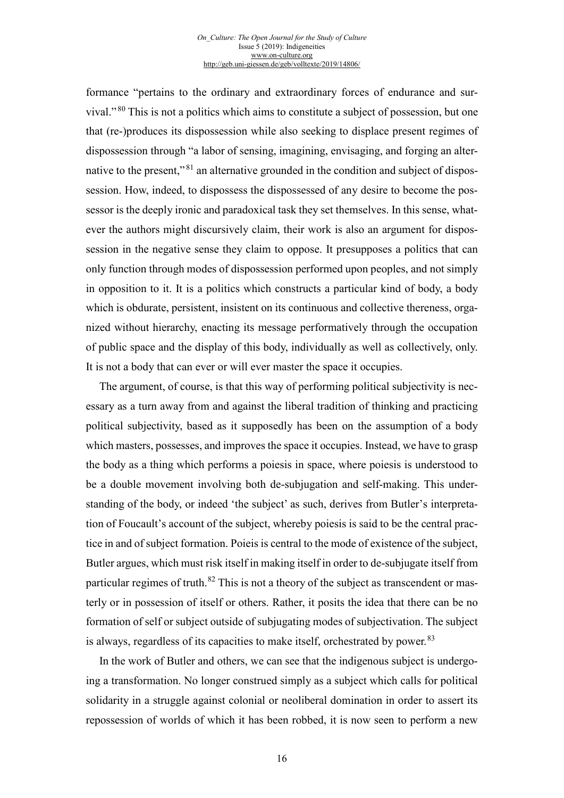formance "pertains to the ordinary and extraordinary forces of endurance and survival." [80](#page-23-58) This is not a politics which aims to constitute a subject of possession, but one that (re-)produces its dispossession while also seeking to displace present regimes of dispossession through "a labor of sensing, imagining, envisaging, and forging an alter-native to the present,"<sup>[81](#page-23-59)</sup> an alternative grounded in the condition and subject of dispossession. How, indeed, to dispossess the dispossessed of any desire to become the possessor is the deeply ironic and paradoxical task they set themselves. In this sense, whatever the authors might discursively claim, their work is also an argument for dispossession in the negative sense they claim to oppose. It presupposes a politics that can only function through modes of dispossession performed upon peoples, and not simply in opposition to it. It is a politics which constructs a particular kind of body, a body which is obdurate, persistent, insistent on its continuous and collective thereness, organized without hierarchy, enacting its message performatively through the occupation of public space and the display of this body, individually as well as collectively, only. It is not a body that can ever or will ever master the space it occupies.

The argument, of course, is that this way of performing political subjectivity is necessary as a turn away from and against the liberal tradition of thinking and practicing political subjectivity, based as it supposedly has been on the assumption of a body which masters, possesses, and improves the space it occupies. Instead, we have to grasp the body as a thing which performs a poiesis in space, where poiesis is understood to be a double movement involving both de-subjugation and self-making. This understanding of the body, or indeed 'the subject' as such, derives from Butler's interpretation of Foucault's account of the subject, whereby poiesis is said to be the central practice in and of subject formation. Poieis is central to the mode of existence of the subject, Butler argues, which must risk itself in making itself in order to de-subjugate itself from particular regimes of truth.<sup>[82](#page-23-60)</sup> This is not a theory of the subject as transcendent or masterly or in possession of itself or others. Rather, it posits the idea that there can be no formation of self or subject outside of subjugating modes of subjectivation. The subject is always, regardless of its capacities to make itself, orchestrated by power.  $83$ 

In the work of Butler and others, we can see that the indigenous subject is undergoing a transformation. No longer construed simply as a subject which calls for political solidarity in a struggle against colonial or neoliberal domination in order to assert its repossession of worlds of which it has been robbed, it is now seen to perform a new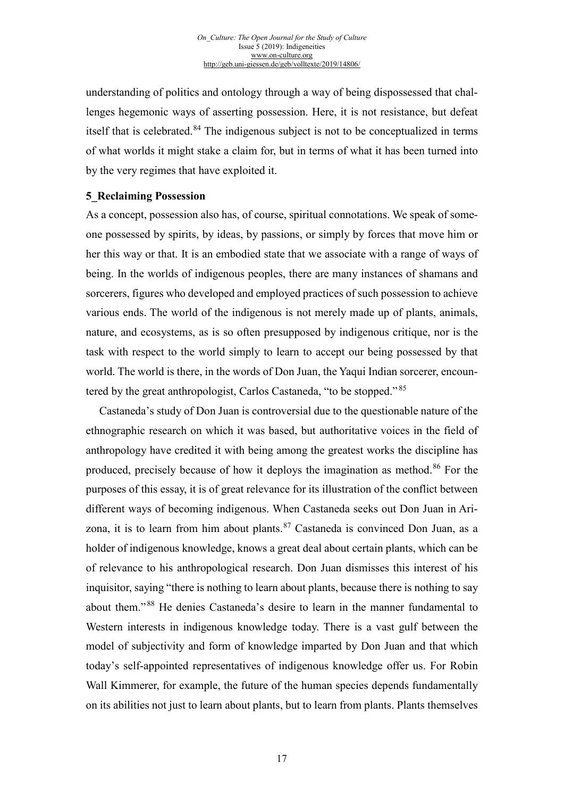understanding of politics and ontology through a way of being dispossessed that challenges hegemonic ways of asserting possession. Here, it is not resistance, but defeat itself that is celebrated.<sup>[84](#page-23-62)</sup> The indigenous subject is not to be conceptualized in terms of what worlds it might stake a claim for, but in terms of what it has been turned into by the very regimes that have exploited it.

#### **5\_Reclaiming Possession**

As a concept, possession also has, of course, spiritual connotations. We speak of someone possessed by spirits, by ideas, by passions, or simply by forces that move him or her this way or that. It is an embodied state that we associate with a range of ways of being. In the worlds of indigenous peoples, there are many instances of shamans and sorcerers, figures who developed and employed practices of such possession to achieve various ends. The world of the indigenous is not merely made up of plants, animals, nature, and ecosystems, as is so often presupposed by indigenous critique, nor is the task with respect to the world simply to learn to accept our being possessed by that world. The world is there, in the words of Don Juan, the Yaqui Indian sorcerer, encountered by the great anthropologist, Carlos Castaneda, "to be stopped." [85](#page-23-63)

Castaneda's study of Don Juan is controversial due to the questionable nature of the ethnographic research on which it was based, but authoritative voices in the field of anthropology have credited it with being among the greatest works the discipline has produced, precisely because of how it deploys the imagination as method.<sup>[86](#page-23-64)</sup> For the purposes of this essay, it is of great relevance for its illustration of the conflict between different ways of becoming indigenous. When Castaneda seeks out Don Juan in Arizona, it is to learn from him about plants. $87$  Castaneda is convinced Don Juan, as a holder of indigenous knowledge, knows a great deal about certain plants, which can be of relevance to his anthropological research. Don Juan dismisses this interest of his inquisitor, saying "there is nothing to learn about plants, because there is nothing to say about them." [88](#page-23-66) He denies Castaneda's desire to learn in the manner fundamental to Western interests in indigenous knowledge today. There is a vast gulf between the model of subjectivity and form of knowledge imparted by Don Juan and that which today's self-appointed representatives of indigenous knowledge offer us. For Robin Wall Kimmerer, for example, the future of the human species depends fundamentally on its abilities not just to learn about plants, but to learn from plants. Plants themselves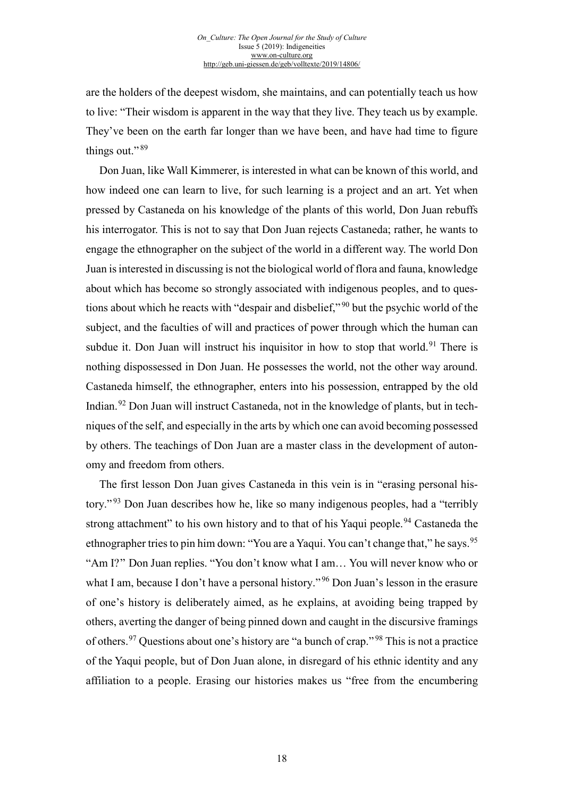are the holders of the deepest wisdom, she maintains, and can potentially teach us how to live: "Their wisdom is apparent in the way that they live. They teach us by example. They've been on the earth far longer than we have been, and have had time to figure things out."<sup>[89](#page-23-67)</sup>

Don Juan, like Wall Kimmerer, is interested in what can be known of this world, and how indeed one can learn to live, for such learning is a project and an art. Yet when pressed by Castaneda on his knowledge of the plants of this world, Don Juan rebuffs his interrogator. This is not to say that Don Juan rejects Castaneda; rather, he wants to engage the ethnographer on the subject of the world in a different way. The world Don Juan is interested in discussing is not the biological world of flora and fauna, knowledge about which has become so strongly associated with indigenous peoples, and to questions about which he reacts with "despair and disbelief," [90](#page-23-68) but the psychic world of the subject, and the faculties of will and practices of power through which the human can subdue it. Don Juan will instruct his inquisitor in how to stop that world.<sup>[91](#page-23-69)</sup> There is nothing dispossessed in Don Juan. He possesses the world, not the other way around. Castaneda himself, the ethnographer, enters into his possession, entrapped by the old Indian.[92](#page-23-70) Don Juan will instruct Castaneda, not in the knowledge of plants, but in techniques of the self, and especially in the arts by which one can avoid becoming possessed by others. The teachings of Don Juan are a master class in the development of autonomy and freedom from others.

The first lesson Don Juan gives Castaneda in this vein is in "erasing personal his-tory."<sup>[93](#page-23-71)</sup> Don Juan describes how he, like so many indigenous peoples, had a "terribly" strong attachment" to his own history and to that of his Yaqui people.<sup>[94](#page-23-72)</sup> Castaneda the ethnographer tries to pin him down: "You are a Yaqui. You can't change that," he says.<sup>[95](#page-23-73)</sup> "Am I?" Don Juan replies. "You don't know what I am… You will never know who or what I am, because I don't have a personal history."<sup>[96](#page-23-74)</sup> Don Juan's lesson in the erasure of one's history is deliberately aimed, as he explains, at avoiding being trapped by others, averting the danger of being pinned down and caught in the discursive framings of others.[97](#page-23-75) Questions about one's history are "a bunch of crap." [98](#page-23-76) This is not a practice of the Yaqui people, but of Don Juan alone, in disregard of his ethnic identity and any affiliation to a people. Erasing our histories makes us "free from the encumbering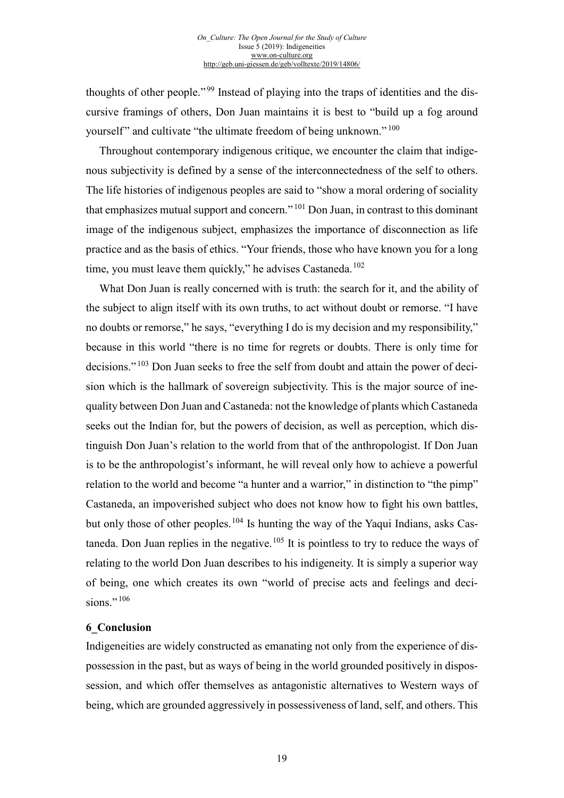thoughts of other people."<sup>[99](#page-23-0)</sup> Instead of playing into the traps of identities and the discursive framings of others, Don Juan maintains it is best to "build up a fog around yourself" and cultivate "the ultimate freedom of being unknown."<sup>[100](#page-23-77)</sup>

Throughout contemporary indigenous critique, we encounter the claim that indigenous subjectivity is defined by a sense of the interconnectedness of the self to others. The life histories of indigenous peoples are said to "show a moral ordering of sociality that emphasizes mutual support and concern." [101](#page-23-78) Don Juan, in contrast to this dominant image of the indigenous subject, emphasizes the importance of disconnection as life practice and as the basis of ethics. "Your friends, those who have known you for a long time, you must leave them quickly," he advises Castaneda.<sup>[102](#page-23-79)</sup>

What Don Juan is really concerned with is truth: the search for it, and the ability of the subject to align itself with its own truths, to act without doubt or remorse. "I have no doubts or remorse," he says, "everything I do is my decision and my responsibility," because in this world "there is no time for regrets or doubts. There is only time for decisions." [103](#page-23-80) Don Juan seeks to free the self from doubt and attain the power of decision which is the hallmark of sovereign subjectivity. This is the major source of inequality between Don Juan and Castaneda: not the knowledge of plants which Castaneda seeks out the Indian for, but the powers of decision, as well as perception, which distinguish Don Juan's relation to the world from that of the anthropologist. If Don Juan is to be the anthropologist's informant, he will reveal only how to achieve a powerful relation to the world and become "a hunter and a warrior," in distinction to "the pimp" Castaneda, an impoverished subject who does not know how to fight his own battles, but only those of other peoples.<sup>[104](#page-23-24)</sup> Is hunting the way of the Yaqui Indians, asks Cas-taneda. Don Juan replies in the negative.<sup>[105](#page-23-25)</sup> It is pointless to try to reduce the ways of relating to the world Don Juan describes to his indigeneity. It is simply a superior way of being, one which creates its own "world of precise acts and feelings and decisions." $106$ 

## **6\_Conclusion**

Indigeneities are widely constructed as emanating not only from the experience of dispossession in the past, but as ways of being in the world grounded positively in dispossession, and which offer themselves as antagonistic alternatives to Western ways of being, which are grounded aggressively in possessiveness of land, self, and others. This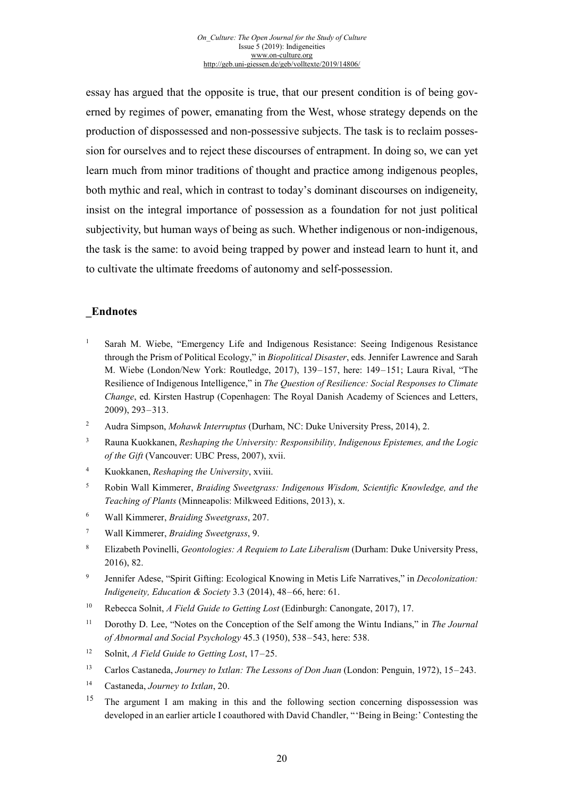essay has argued that the opposite is true, that our present condition is of being governed by regimes of power, emanating from the West, whose strategy depends on the production of dispossessed and non-possessive subjects. The task is to reclaim possession for ourselves and to reject these discourses of entrapment. In doing so, we can yet learn much from minor traditions of thought and practice among indigenous peoples, both mythic and real, which in contrast to today's dominant discourses on indigeneity, insist on the integral importance of possession as a foundation for not just political subjectivity, but human ways of being as such. Whether indigenous or non-indigenous, the task is the same: to avoid being trapped by power and instead learn to hunt it, and to cultivate the ultimate freedoms of autonomy and self-possession.

## **\_Endnotes**

- 1 Sarah M. Wiebe, "Emergency Life and Indigenous Resistance: Seeing Indigenous Resistance through the Prism of Political Ecology," in *Biopolitical Disaster*, eds. Jennifer Lawrence and Sarah M. Wiebe (London/New York: Routledge, 2017), 139–157, here: 149–151; Laura Rival, "The Resilience of Indigenous Intelligence," in *The Question of Resilience: Social Responses to Climate Change*, ed. Kirsten Hastrup (Copenhagen: The Royal Danish Academy of Sciences and Letters, 2009), 293–313.
- 2 Audra Simpson, *Mohawk Interruptus* (Durham, NC: Duke University Press, 2014), 2.
- 3 Rauna Kuokkanen, *Reshaping the University: Responsibility, Indigenous Epistemes, and the Logic of the Gift* (Vancouver: UBC Press, 2007), xvii.
- 4 Kuokkanen, *Reshaping the University*, xviii.
- 5 Robin Wall Kimmerer, *Braiding Sweetgrass: Indigenous Wisdom, Scientific Knowledge, and the Teaching of Plants* (Minneapolis: Milkweed Editions, 2013), x.
- 6 Wall Kimmerer, *Braiding Sweetgrass*, 207.
- 7 Wall Kimmerer, *Braiding Sweetgrass*, 9.
- 8 Elizabeth Povinelli, *Geontologies: A Requiem to Late Liberalism* (Durham: Duke University Press, 2016), 82.
- 9 Jennifer Adese, "Spirit Gifting: Ecological Knowing in Metis Life Narratives," in *Decolonization: Indigeneity, Education & Society* 3.3 (2014), 48–66, here: 61.
- 10 Rebecca Solnit, *A Field Guide to Getting Lost* (Edinburgh: Canongate, 2017), 17.
- 11 Dorothy D. Lee, "Notes on the Conception of the Self among the Wintu Indians," in *The Journal of Abnormal and Social Psychology* 45.3 (1950), 538–543, here: 538.
- 12 Solnit, *A Field Guide to Getting Lost*, 17–25.
- 13 Carlos Castaneda, *Journey to Ixtlan: The Lessons of Don Juan* (London: Penguin, 1972), 15–243.
- 14 Castaneda, *Journey to Ixtlan*, 20.
- <sup>15</sup> The argument I am making in this and the following section concerning dispossession was developed in an earlier article I coauthored with David Chandler, "'Being in Being:' Contesting the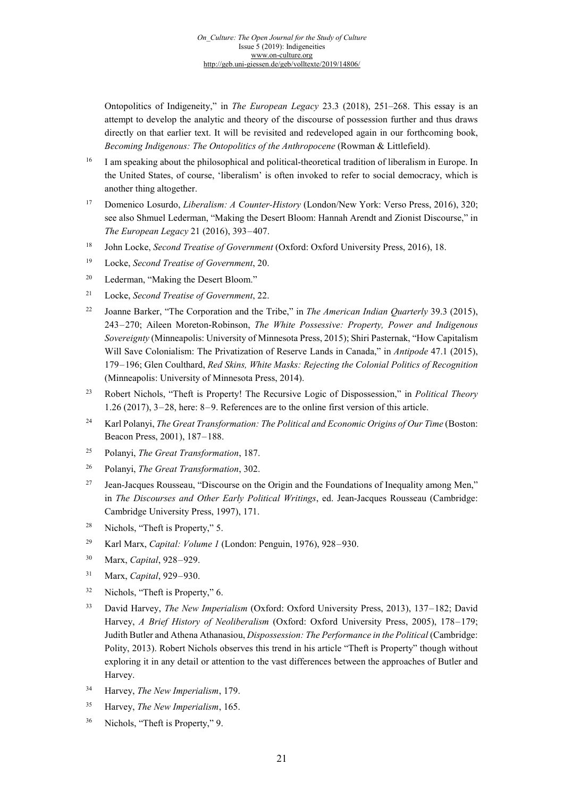Ontopolitics of Indigeneity," in *The European Legacy* 23.3 (2018), 251–268. This essay is an attempt to develop the analytic and theory of the discourse of possession further and thus draws directly on that earlier text. It will be revisited and redeveloped again in our forthcoming book, *Becoming Indigenous: The Ontopolitics of the Anthropocene* (Rowman & Littlefield).

- <sup>16</sup> I am speaking about the philosophical and political-theoretical tradition of liberalism in Europe. In the United States, of course, 'liberalism' is often invoked to refer to social democracy, which is another thing altogether.
- 17 Domenico Losurdo, *Liberalism: A Counter-History* (London/New York: Verso Press, 2016), 320; see also Shmuel Lederman, "Making the Desert Bloom: Hannah Arendt and Zionist Discourse," in *The European Legacy* 21 (2016), 393–407.
- 18 John Locke, *Second Treatise of Government* (Oxford: Oxford University Press, 2016), 18.
- 19 Locke, *Second Treatise of Government*, 20.
- 20 Lederman, "Making the Desert Bloom."
- 21 Locke, *Second Treatise of Government*, 22.
- <span id="page-20-0"></span>22 Joanne Barker, "The Corporation and the Tribe," in *The American Indian Quarterly* 39.3 (2015), 243–270; Aileen Moreton-Robinson, *The White Possessive: Property, Power and Indigenous Sovereignty* (Minneapolis: University of Minnesota Press, 2015); Shiri Pasternak, "How Capitalism Will Save Colonialism: The Privatization of Reserve Lands in Canada," in *Antipode* 47.1 (2015), 179–196; Glen Coulthard, *Red Skins, White Masks: Rejecting the Colonial Politics of Recognition*  (Minneapolis: University of Minnesota Press, 2014).
- 23 Robert Nichols, "Theft is Property! The Recursive Logic of Dispossession," in *Political Theory*  1.26 (2017), 3–28, here: 8–9. References are to the online first version of this article.
- <sup>24</sup> Karl Polanyi, *The Great Transformation: The Political and Economic Origins of Our Time* (Boston: Beacon Press, 2001), 187–188.
- 25 Polanyi, *The Great Transformation*, 187.
- 26 Polanyi, *The Great Transformation*, 302.
- <sup>27</sup> Jean-Jacques Rousseau, "Discourse on the Origin and the Foundations of Inequality among Men," in *The Discourses and Other Early Political Writings*, ed. Jean-Jacques Rousseau (Cambridge: Cambridge University Press, 1997), 171.
- 28 Nichols, "Theft is Property," 5.
- 29 Karl Marx, *Capital: Volume 1* (London: Penguin, 1976), 928–930.
- 30 Marx, *Capital*, 928–929.
- 31 Marx, *Capital*, 929–930.
- <sup>32</sup> Nichols, "Theft is Property," 6.
- 33 David Harvey, *The New Imperialism* (Oxford: Oxford University Press, 2013), 137–182; David Harvey, *A Brief History of Neoliberalism* (Oxford: Oxford University Press, 2005), 178–179; Judith Butler and Athena Athanasiou, *Dispossession: The Performance in the Political* (Cambridge: Polity, 2013). Robert Nichols observes this trend in his article "Theft is Property" though without exploring it in any detail or attention to the vast differences between the approaches of Butler and Harvey.
- 34 Harvey, *The New Imperialism*, 179.
- 35 Harvey, *The New Imperialism*, 165.
- 36 Nichols, "Theft is Property," 9.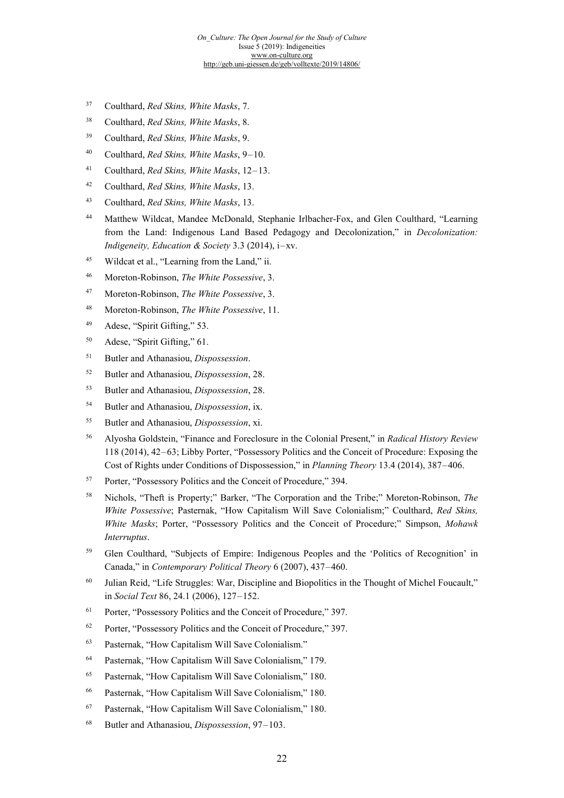- 37 Coulthard, *Red Skins, White Masks*, 7.
- 38 Coulthard, *Red Skins, White Masks*, 8.
- 39 Coulthard, *Red Skins, White Masks*, 9.
- 40 Coulthard, *Red Skins, White Masks*, 9–10.
- 41 Coulthard, *Red Skins, White Masks*, 12–13.
- 42 Coulthard, *Red Skins, White Masks*, 13.
- 43 Coulthard, *Red Skins, White Masks*, 13.
- 44 Matthew Wildcat, Mandee McDonald, Stephanie Irlbacher-Fox, and Glen Coulthard, "Learning from the Land: Indigenous Land Based Pedagogy and Decolonization," in *Decolonization: Indigeneity, Education & Society* 3.3 (2014), i–xv.
- 45 Wildcat et al., "Learning from the Land," ii.
- 46 Moreton-Robinson, *The White Possessive*, 3.
- 47 Moreton-Robinson, *The White Possessive*, 3.
- 48 Moreton-Robinson, *The White Possessive*, 11.
- 49 Adese, "Spirit Gifting," 53.
- 50 Adese, "Spirit Gifting," 61.
- 51 Butler and Athanasiou, *Dispossession*.
- 52 Butler and Athanasiou, *Dispossession*, 28.
- 53 Butler and Athanasiou, *Dispossession*, 28.
- 54 Butler and Athanasiou, *Dispossession*, ix.
- <span id="page-21-0"></span>55 Butler and Athanasiou, *Dispossession*, xi.
- <span id="page-21-1"></span>56 Alyosha Goldstein, "Finance and Foreclosure in the Colonial Present," in *Radical History Review*  118 (2014), 42–63; Libby Porter, "Possessory Politics and the Conceit of Procedure: Exposing the Cost of Rights under Conditions of Dispossession," in *Planning Theory* 13.4 (2014), 387–406.
- <span id="page-21-3"></span><span id="page-21-2"></span>57 Porter, "Possessory Politics and the Conceit of Procedure," 394.
- <span id="page-21-4"></span>58 Nichols, "Theft is Property;" Barker, "The Corporation and the Tribe;" Moreton-Robinson, *The White Possessive*; Pasternak, "How Capitalism Will Save Colonialism;" Coulthard, *Red Skins, White Masks*; Porter, "Possessory Politics and the Conceit of Procedure;" Simpson, *Mohawk Interruptus*.
- <span id="page-21-5"></span><sup>59</sup> Glen Coulthard, "Subjects of Empire: Indigenous Peoples and the 'Politics of Recognition' in Canada," in *Contemporary Political Theory* 6 (2007), 437–460.
- 60 Julian Reid, "Life Struggles: War, Discipline and Biopolitics in the Thought of Michel Foucault," in *Social Text* 86, 24.1 (2006), 127–152.
- 61 Porter, "Possessory Politics and the Conceit of Procedure," 397.
- 62 Porter, "Possessory Politics and the Conceit of Procedure," 397.
- 63 Pasternak, "How Capitalism Will Save Colonialism."
- 64 Pasternak, "How Capitalism Will Save Colonialism," 179.
- 65 Pasternak, "How Capitalism Will Save Colonialism," 180.
- 66 Pasternak, "How Capitalism Will Save Colonialism," 180.
- 67 Pasternak, "How Capitalism Will Save Colonialism," 180.
- 68 Butler and Athanasiou, *Dispossession*, 97–103.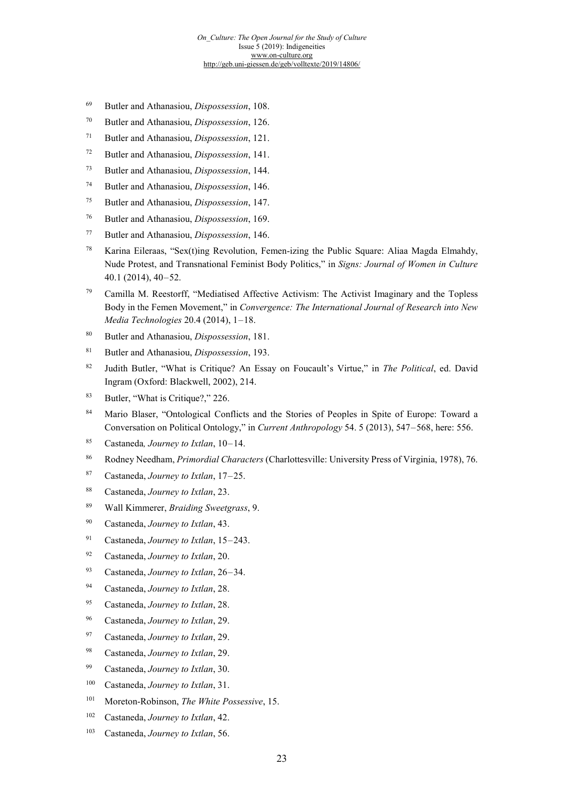- 69 Butler and Athanasiou, *Dispossession*, 108.
- 70 Butler and Athanasiou, *Dispossession*, 126.
- 71 Butler and Athanasiou, *Dispossession*, 121.
- 72 Butler and Athanasiou, *Dispossession*, 141.
- 73 Butler and Athanasiou, *Dispossession*, 144.
- 74 Butler and Athanasiou, *Dispossession*, 146.
- 75 Butler and Athanasiou, *Dispossession*, 147.
- 76 Butler and Athanasiou, *Dispossession*, 169.
- 77 Butler and Athanasiou, *Dispossession*, 146.
- 78 Karina Eileraas, "Sex(t)ing Revolution, Femen-izing the Public Square: Aliaa Magda Elmahdy, Nude Protest, and Transnational Feminist Body Politics," in *Signs: Journal of Women in Culture*  40.1 (2014), 40–52.
- $79$  Camilla M. Reestorff, "Mediatised Affective Activism: The Activist Imaginary and the Topless Body in the Femen Movement," in *Convergence: The International Journal of Research into New Media Technologies* 20.4 (2014), 1–18.
- 80 Butler and Athanasiou, *Dispossession*, 181.
- 81 Butler and Athanasiou, *Dispossession*, 193.
- 82 Judith Butler, "What is Critique? An Essay on Foucault's Virtue," in *The Political*, ed. David Ingram (Oxford: Blackwell, 2002), 214.
- 83 Butler, "What is Critique?," 226.
- 84 Mario Blaser, "Ontological Conflicts and the Stories of Peoples in Spite of Europe: Toward a Conversation on Political Ontology," in *Current Anthropology* 54. 5 (2013), 547–568, here: 556.
- 85 Castaneda*, Journey to Ixtlan*, 10–14.
- 86 Rodney Needham, *Primordial Characters* (Charlottesville: University Press of Virginia, 1978), 76.
- 87 Castaneda, *Journey to Ixtlan*, 17–25.
- 88 Castaneda, *Journey to Ixtlan*, 23.
- 89 Wall Kimmerer, *Braiding Sweetgrass*, 9.
- 90 Castaneda, *Journey to Ixtlan*, 43.
- <span id="page-22-0"></span>91 Castaneda, *Journey to Ixtlan*, 15–243.
- 92 Castaneda, *Journey to Ixtlan*, 20.
- <span id="page-22-1"></span>93 Castaneda, *Journey to Ixtlan*, 26–34.
- 94 Castaneda, *Journey to Ixtlan*, 28.
- <span id="page-22-2"></span>95 Castaneda, *Journey to Ixtlan*, 28.
- <span id="page-22-3"></span>96 Castaneda, *Journey to Ixtlan*, 29.
- 97 Castaneda, *Journey to Ixtlan*, 29.
- <span id="page-22-4"></span>98 Castaneda, *Journey to Ixtlan*, 29.
- 99 Castaneda, *Journey to Ixtlan*, 30.
- 100 Castaneda, *Journey to Ixtlan*, 31.
- 101 Moreton-Robinson, *The White Possessive*, 15.
- 102 Castaneda, *Journey to Ixtlan*, 42.
- 103 Castaneda, *Journey to Ixtlan*, 56.